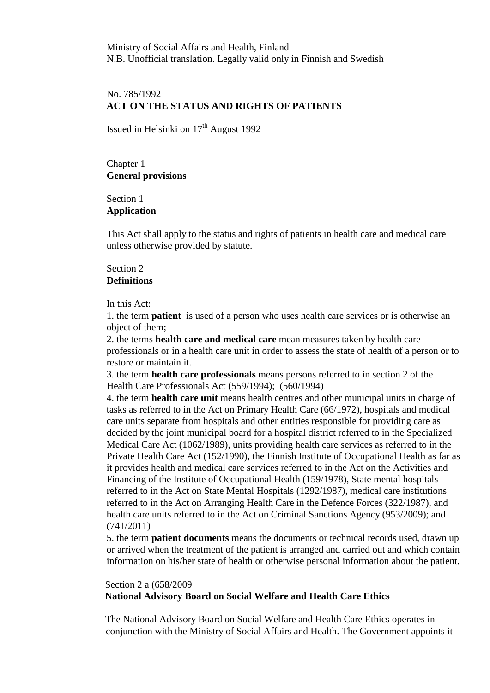Ministry of Social Affairs and Health, Finland N.B. Unofficial translation. Legally valid only in Finnish and Swedish

# No. 785/1992 **ACT ON THE STATUS AND RIGHTS OF PATIENTS**

Issued in Helsinki on  $17<sup>th</sup>$  August 1992

Chapter 1 **General provisions**

Section 1 **Application** 

This Act shall apply to the status and rights of patients in health care and medical care unless otherwise provided by statute.

# Section 2 **Definitions**

In this Act:

1. the term **patient** is used of a person who uses health care services or is otherwise an object of them;

2. the terms **health care and medical care** mean measures taken by health care professionals or in a health care unit in order to assess the state of health of a person or to restore or maintain it.

3. the term **health care professionals** means persons referred to in section 2 of the Health Care Professionals Act (559/1994); (560/1994)

4. the term **health care unit** means health centres and other municipal units in charge of tasks as referred to in the Act on Primary Health Care (66/1972), hospitals and medical care units separate from hospitals and other entities responsible for providing care as decided by the joint municipal board for a hospital district referred to in the Specialized Medical Care Act (1062/1989), units providing health care services as referred to in the Private Health Care Act (152/1990), the Finnish Institute of Occupational Health as far as it provides health and medical care services referred to in the Act on the Activities and Financing of the Institute of Occupational Health (159/1978), State mental hospitals referred to in the Act on State Mental Hospitals (1292/1987), medical care institutions referred to in the Act on Arranging Health Care in the Defence Forces (322/1987), and health care units referred to in the Act on Criminal Sanctions Agency (953/2009); and (741/2011)

5. the term **patient documents** means the documents or technical records used, drawn up or arrived when the treatment of the patient is arranged and carried out and which contain information on his/her state of health or otherwise personal information about the patient.

## Section 2 a (658/2009 **National Advisory Board on Social Welfare and Health Care Ethics**

 The National Advisory Board on Social Welfare and Health Care Ethics operates in conjunction with the Ministry of Social Affairs and Health. The Government appoints it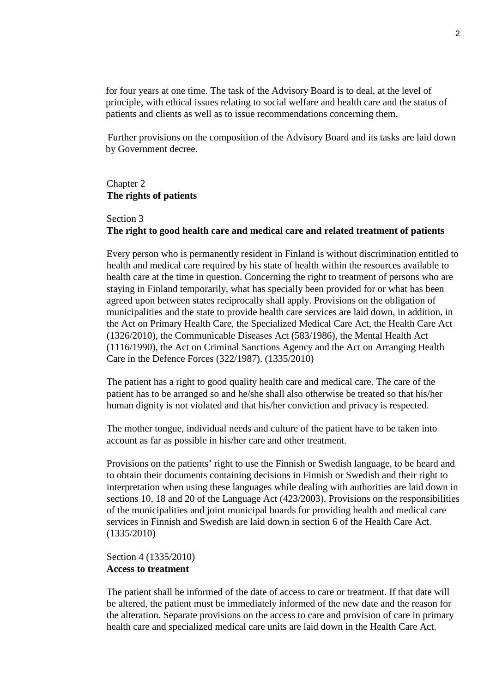for four years at one time. The task of the Advisory Board is to deal, at the level of principle, with ethical issues relating to social welfare and health care and the status of patients and clients as well as to issue recommendations concerning them.

 Further provisions on the composition of the Advisory Board and its tasks are laid down by Government decree.

#### Chapter 2 **The rights of patients**

# Section 3 **The right to good health care and medical care and related treatment of patients**

Every person who is permanently resident in Finland is without discrimination entitled to health and medical care required by his state of health within the resources available to health care at the time in question. Concerning the right to treatment of persons who are staying in Finland temporarily, what has specially been provided for or what has been agreed upon between states reciprocally shall apply. Provisions on the obligation of municipalities and the state to provide health care services are laid down, in addition, in the Act on Primary Health Care, the Specialized Medical Care Act, the Health Care Act (1326/2010), the Communicable Diseases Act (583/1986), the Mental Health Act (1116/1990), the Act on Criminal Sanctions Agency and the Act on Arranging Health Care in the Defence Forces (322/1987). (1335/2010)

The patient has a right to good quality health care and medical care. The care of the patient has to be arranged so and he/she shall also otherwise be treated so that his/her human dignity is not violated and that his/her conviction and privacy is respected.

The mother tongue, individual needs and culture of the patient have to be taken into account as far as possible in his/her care and other treatment.

Provisions on the patients' right to use the Finnish or Swedish language, to be heard and to obtain their documents containing decisions in Finnish or Swedish and their right to interpretation when using these languages while dealing with authorities are laid down in sections 10, 18 and 20 of the Language Act (423/2003). Provisions on the responsibilities of the municipalities and joint municipal boards for providing health and medical care services in Finnish and Swedish are laid down in section 6 of the Health Care Act. (1335/2010)

Section 4 (1335/2010) **Access to treatment**

The patient shall be informed of the date of access to care or treatment. If that date will be altered, the patient must be immediately informed of the new date and the reason for the alteration. Separate provisions on the access to care and provision of care in primary health care and specialized medical care units are laid down in the Health Care Act.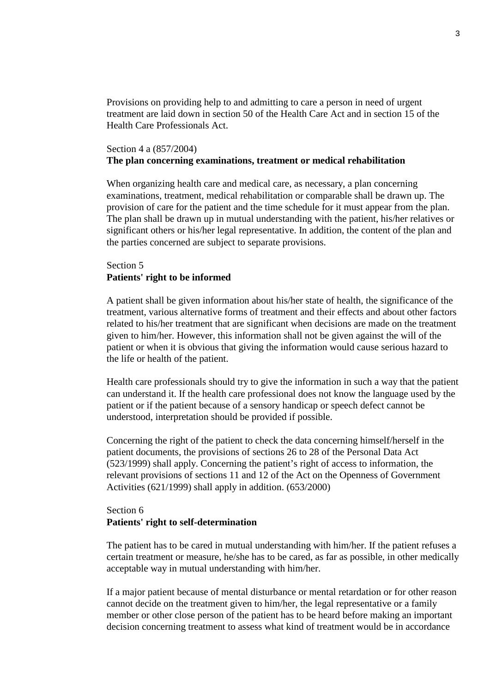Provisions on providing help to and admitting to care a person in need of urgent treatment are laid down in section 50 of the Health Care Act and in section 15 of the Health Care Professionals Act.

#### Section 4 a (857/2004)

## **The plan concerning examinations, treatment or medical rehabilitation**

When organizing health care and medical care, as necessary, a plan concerning examinations, treatment, medical rehabilitation or comparable shall be drawn up. The provision of care for the patient and the time schedule for it must appear from the plan. The plan shall be drawn up in mutual understanding with the patient, his/her relatives or significant others or his/her legal representative. In addition, the content of the plan and the parties concerned are subject to separate provisions.

## Section 5 **Patients' right to be informed**

A patient shall be given information about his/her state of health, the significance of the treatment, various alternative forms of treatment and their effects and about other factors related to his/her treatment that are significant when decisions are made on the treatment given to him/her. However, this information shall not be given against the will of the patient or when it is obvious that giving the information would cause serious hazard to the life or health of the patient.

Health care professionals should try to give the information in such a way that the patient can understand it. If the health care professional does not know the language used by the patient or if the patient because of a sensory handicap or speech defect cannot be understood, interpretation should be provided if possible.

Concerning the right of the patient to check the data concerning himself/herself in the patient documents, the provisions of sections 26 to 28 of the Personal Data Act (523/1999) shall apply. Concerning the patient's right of access to information, the relevant provisions of sections 11 and 12 of the Act on the Openness of Government Activities (621/1999) shall apply in addition. (653/2000)

## Section 6 **Patients' right to self-determination**

The patient has to be cared in mutual understanding with him/her. If the patient refuses a certain treatment or measure, he/she has to be cared, as far as possible, in other medically acceptable way in mutual understanding with him/her.

If a major patient because of mental disturbance or mental retardation or for other reason cannot decide on the treatment given to him/her, the legal representative or a family member or other close person of the patient has to be heard before making an important decision concerning treatment to assess what kind of treatment would be in accordance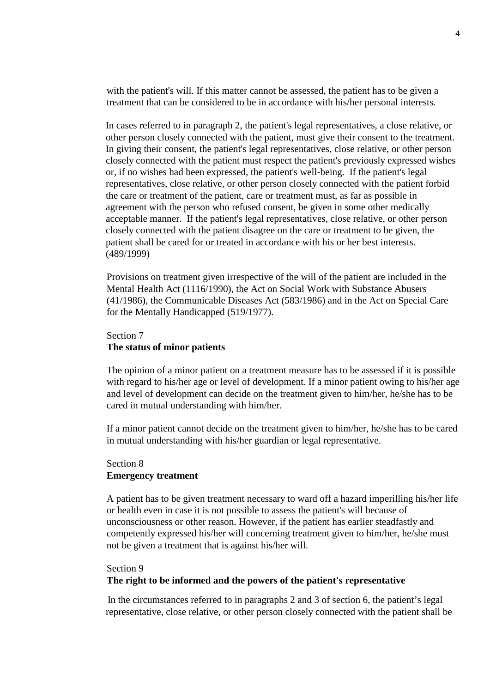with the patient's will. If this matter cannot be assessed, the patient has to be given a treatment that can be considered to be in accordance with his/her personal interests.

In cases referred to in paragraph 2, the patient's legal representatives, a close relative, or other person closely connected with the patient, must give their consent to the treatment. In giving their consent, the patient's legal representatives, close relative, or other person closely connected with the patient must respect the patient's previously expressed wishes or, if no wishes had been expressed, the patient's well-being. If the patient's legal representatives, close relative, or other person closely connected with the patient forbid the care or treatment of the patient, care or treatment must, as far as possible in agreement with the person who refused consent, be given in some other medically acceptable manner. If the patient's legal representatives, close relative, or other person closely connected with the patient disagree on the care or treatment to be given, the patient shall be cared for or treated in accordance with his or her best interests. (489/1999)

Provisions on treatment given irrespective of the will of the patient are included in the Mental Health Act (1116/1990), the Act on Social Work with Substance Abusers (41/1986), the Communicable Diseases Act (583/1986) and in the Act on Special Care for the Mentally Handicapped (519/1977).

## Section 7 **The status of minor patients**

The opinion of a minor patient on a treatment measure has to be assessed if it is possible with regard to his/her age or level of development. If a minor patient owing to his/her age and level of development can decide on the treatment given to him/her, he/she has to be cared in mutual understanding with him/her.

If a minor patient cannot decide on the treatment given to him/her, he/she has to be cared in mutual understanding with his/her guardian or legal representative.

# Section 8 **Emergency treatment**

A patient has to be given treatment necessary to ward off a hazard imperilling his/her life or health even in case it is not possible to assess the patient's will because of unconsciousness or other reason. However, if the patient has earlier steadfastly and competently expressed his/her will concerning treatment given to him/her, he/she must not be given a treatment that is against his/her will.

# Section 9 **The right to be informed and the powers of the patient's representative**

 In the circumstances referred to in paragraphs 2 and 3 of section 6, the patient's legal representative, close relative, or other person closely connected with the patient shall be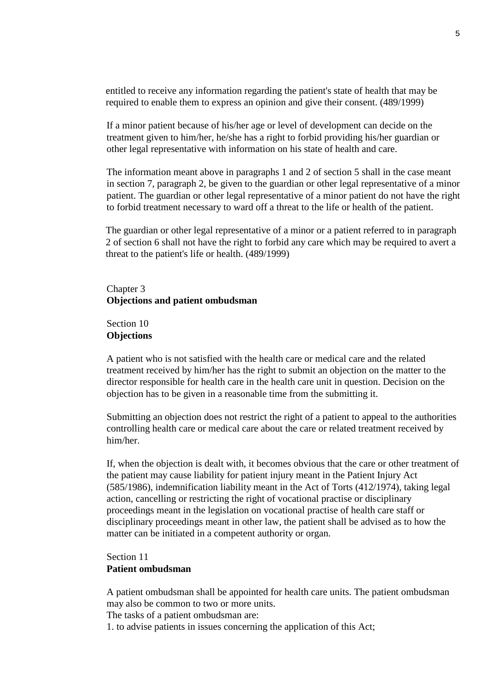entitled to receive any information regarding the patient's state of health that may be required to enable them to express an opinion and give their consent. (489/1999)

If a minor patient because of his/her age or level of development can decide on the treatment given to him/her, he/she has a right to forbid providing his/her guardian or other legal representative with information on his state of health and care.

The information meant above in paragraphs 1 and 2 of section 5 shall in the case meant in section 7, paragraph 2, be given to the guardian or other legal representative of a minor patient. The guardian or other legal representative of a minor patient do not have the right to forbid treatment necessary to ward off a threat to the life or health of the patient.

The guardian or other legal representative of a minor or a patient referred to in paragraph 2 of section 6 shall not have the right to forbid any care which may be required to avert a threat to the patient's life or health. (489/1999)

### Chapter 3 **Objections and patient ombudsman**

Section 10 **Objections** 

A patient who is not satisfied with the health care or medical care and the related treatment received by him/her has the right to submit an objection on the matter to the director responsible for health care in the health care unit in question. Decision on the objection has to be given in a reasonable time from the submitting it.

Submitting an objection does not restrict the right of a patient to appeal to the authorities controlling health care or medical care about the care or related treatment received by him/her.

If, when the objection is dealt with, it becomes obvious that the care or other treatment of the patient may cause liability for patient injury meant in the Patient Injury Act (585/1986), indemnification liability meant in the Act of Torts (412/1974), taking legal action, cancelling or restricting the right of vocational practise or disciplinary proceedings meant in the legislation on vocational practise of health care staff or disciplinary proceedings meant in other law, the patient shall be advised as to how the matter can be initiated in a competent authority or organ.

## Section 11 **Patient ombudsman**

A patient ombudsman shall be appointed for health care units. The patient ombudsman may also be common to two or more units.

The tasks of a patient ombudsman are:

1. to advise patients in issues concerning the application of this Act;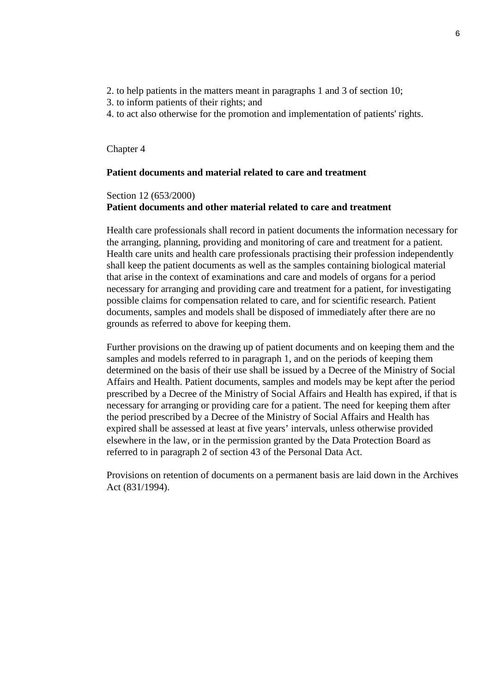- 2. to help patients in the matters meant in paragraphs 1 and 3 of section 10;
- 3. to inform patients of their rights; and
- 4. to act also otherwise for the promotion and implementation of patients' rights.

#### Chapter 4

#### **Patient documents and material related to care and treatment**

## Section 12 (653/2000) **Patient documents and other material related to care and treatment**

Health care professionals shall record in patient documents the information necessary for the arranging, planning, providing and monitoring of care and treatment for a patient. Health care units and health care professionals practising their profession independently shall keep the patient documents as well as the samples containing biological material that arise in the context of examinations and care and models of organs for a period necessary for arranging and providing care and treatment for a patient, for investigating possible claims for compensation related to care, and for scientific research. Patient documents, samples and models shall be disposed of immediately after there are no grounds as referred to above for keeping them.

Further provisions on the drawing up of patient documents and on keeping them and the samples and models referred to in paragraph 1, and on the periods of keeping them determined on the basis of their use shall be issued by a Decree of the Ministry of Social Affairs and Health. Patient documents, samples and models may be kept after the period prescribed by a Decree of the Ministry of Social Affairs and Health has expired, if that is necessary for arranging or providing care for a patient. The need for keeping them after the period prescribed by a Decree of the Ministry of Social Affairs and Health has expired shall be assessed at least at five years' intervals, unless otherwise provided elsewhere in the law, or in the permission granted by the Data Protection Board as referred to in paragraph 2 of section 43 of the Personal Data Act.

Provisions on retention of documents on a permanent basis are laid down in the Archives Act (831/1994).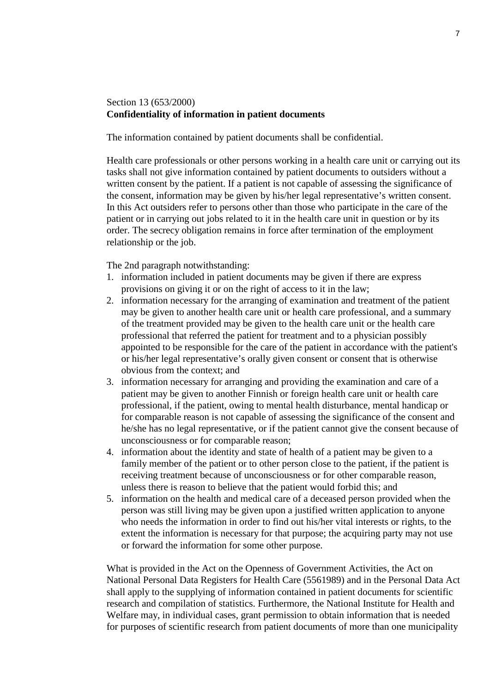# Section 13 (653/2000) **Confidentiality of information in patient documents**

The information contained by patient documents shall be confidential.

Health care professionals or other persons working in a health care unit or carrying out its tasks shall not give information contained by patient documents to outsiders without a written consent by the patient. If a patient is not capable of assessing the significance of the consent, information may be given by his/her legal representative's written consent. In this Act outsiders refer to persons other than those who participate in the care of the patient or in carrying out jobs related to it in the health care unit in question or by its order. The secrecy obligation remains in force after termination of the employment relationship or the job.

The 2nd paragraph notwithstanding:

- 1. information included in patient documents may be given if there are express provisions on giving it or on the right of access to it in the law;
- 2. information necessary for the arranging of examination and treatment of the patient may be given to another health care unit or health care professional, and a summary of the treatment provided may be given to the health care unit or the health care professional that referred the patient for treatment and to a physician possibly appointed to be responsible for the care of the patient in accordance with the patient's or his/her legal representative's orally given consent or consent that is otherwise obvious from the context; and
- 3. information necessary for arranging and providing the examination and care of a patient may be given to another Finnish or foreign health care unit or health care professional, if the patient, owing to mental health disturbance, mental handicap or for comparable reason is not capable of assessing the significance of the consent and he/she has no legal representative, or if the patient cannot give the consent because of unconsciousness or for comparable reason;
- 4. information about the identity and state of health of a patient may be given to a family member of the patient or to other person close to the patient, if the patient is receiving treatment because of unconsciousness or for other comparable reason, unless there is reason to believe that the patient would forbid this; and
- 5. information on the health and medical care of a deceased person provided when the person was still living may be given upon a justified written application to anyone who needs the information in order to find out his/her vital interests or rights, to the extent the information is necessary for that purpose; the acquiring party may not use or forward the information for some other purpose.

What is provided in the Act on the Openness of Government Activities, the Act on National Personal Data Registers for Health Care (5561989) and in the Personal Data Act shall apply to the supplying of information contained in patient documents for scientific research and compilation of statistics. Furthermore, the National Institute for Health and Welfare may, in individual cases, grant permission to obtain information that is needed for purposes of scientific research from patient documents of more than one municipality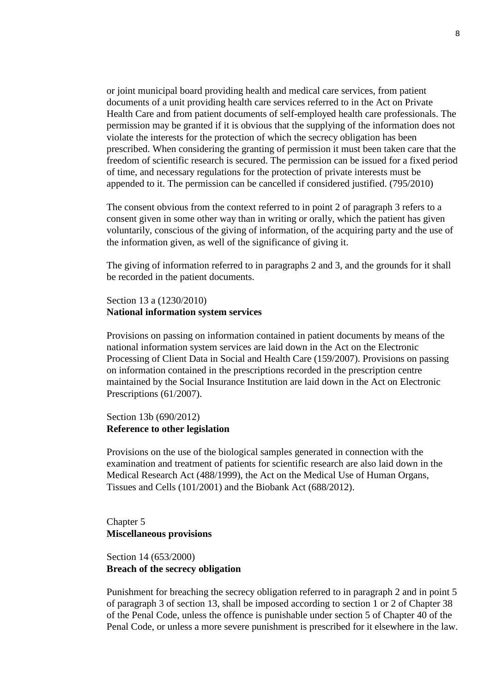or joint municipal board providing health and medical care services, from patient documents of a unit providing health care services referred to in the Act on Private Health Care and from patient documents of self-employed health care professionals. The permission may be granted if it is obvious that the supplying of the information does not violate the interests for the protection of which the secrecy obligation has been prescribed. When considering the granting of permission it must been taken care that the freedom of scientific research is secured. The permission can be issued for a fixed period of time, and necessary regulations for the protection of private interests must be appended to it. The permission can be cancelled if considered justified. (795/2010)

The consent obvious from the context referred to in point 2 of paragraph 3 refers to a consent given in some other way than in writing or orally, which the patient has given voluntarily, conscious of the giving of information, of the acquiring party and the use of the information given, as well of the significance of giving it.

The giving of information referred to in paragraphs 2 and 3, and the grounds for it shall be recorded in the patient documents.

#### Section 13 a (1230/2010) **National information system services**

Provisions on passing on information contained in patient documents by means of the national information system services are laid down in the Act on the Electronic Processing of Client Data in Social and Health Care (159/2007). Provisions on passing on information contained in the prescriptions recorded in the prescription centre maintained by the Social Insurance Institution are laid down in the Act on Electronic Prescriptions (61/2007).

## Section 13b (690/2012) **Reference to other legislation**

Provisions on the use of the biological samples generated in connection with the examination and treatment of patients for scientific research are also laid down in the Medical Research Act (488/1999), the Act on the Medical Use of Human Organs, Tissues and Cells (101/2001) and the Biobank Act (688/2012).

Chapter 5 **Miscellaneous provisions**

# Section 14 (653/2000) **Breach of the secrecy obligation**

Punishment for breaching the secrecy obligation referred to in paragraph 2 and in point 5 of paragraph 3 of section 13, shall be imposed according to section 1 or 2 of Chapter 38 of the Penal Code, unless the offence is punishable under section 5 of Chapter 40 of the Penal Code, or unless a more severe punishment is prescribed for it elsewhere in the law.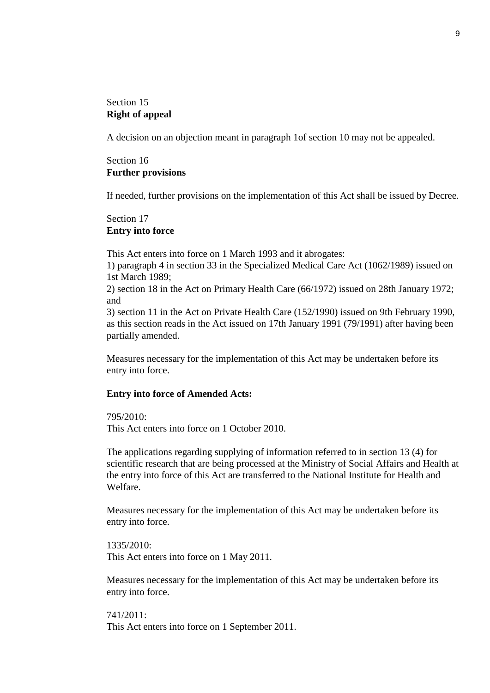## Section 15 **Right of appeal**

A decision on an objection meant in paragraph 1of section 10 may not be appealed.

# Section 16 **Further provisions**

If needed, further provisions on the implementation of this Act shall be issued by Decree.

#### Section 17 **Entry into force**

This Act enters into force on 1 March 1993 and it abrogates:

1) paragraph 4 in section 33 in the Specialized Medical Care Act (1062/1989) issued on 1st March 1989;

2) section 18 in the Act on Primary Health Care (66/1972) issued on 28th January 1972; and

3) section 11 in the Act on Private Health Care (152/1990) issued on 9th February 1990, as this section reads in the Act issued on 17th January 1991 (79/1991) after having been partially amended.

Measures necessary for the implementation of this Act may be undertaken before its entry into force.

#### **Entry into force of Amended Acts:**

795/2010: This Act enters into force on 1 October 2010.

The applications regarding supplying of information referred to in section 13 (4) for scientific research that are being processed at the Ministry of Social Affairs and Health at the entry into force of this Act are transferred to the National Institute for Health and Welfare.

Measures necessary for the implementation of this Act may be undertaken before its entry into force.

1335/2010: This Act enters into force on 1 May 2011.

Measures necessary for the implementation of this Act may be undertaken before its entry into force.

741/2011: This Act enters into force on 1 September 2011.